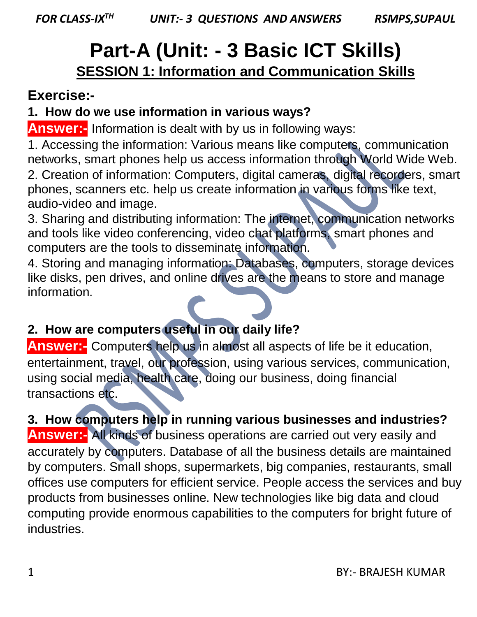# **Part-A (Unit: - 3 Basic ICT Skills) SESSION 1: Information and Communication Skills**

## **Exercise:-**

## **1. How do we use information in various ways?**

**Answer:-** Information is dealt with by us in following ways:

1. Accessing the information: Various means like computers, communication networks, smart phones help us access information through World Wide Web. 2. Creation of information: Computers, digital cameras, digital recorders, smart phones, scanners etc. help us create information in various forms like text,

audio-video and image.

3. Sharing and distributing information: The internet, communication networks and tools like video conferencing, video chat platforms, smart phones and computers are the tools to disseminate information.

4. Storing and managing information: Databases, computers, storage devices like disks, pen drives, and online drives are the means to store and manage information.

## **2. How are computers useful in our daily life?**

**Answer:-** Computers help us in almost all aspects of life be it education, entertainment, travel, our profession, using various services, communication, using social media, health care, doing our business, doing financial transactions etc.

**3. How computers help in running various businesses and industries?** 

**Answer:-** All kinds of business operations are carried out very easily and accurately by computers. Database of all the business details are maintained by computers. Small shops, supermarkets, big companies, restaurants, small offices use computers for efficient service. People access the services and buy products from businesses online. New technologies like big data and cloud computing provide enormous capabilities to the computers for bright future of industries.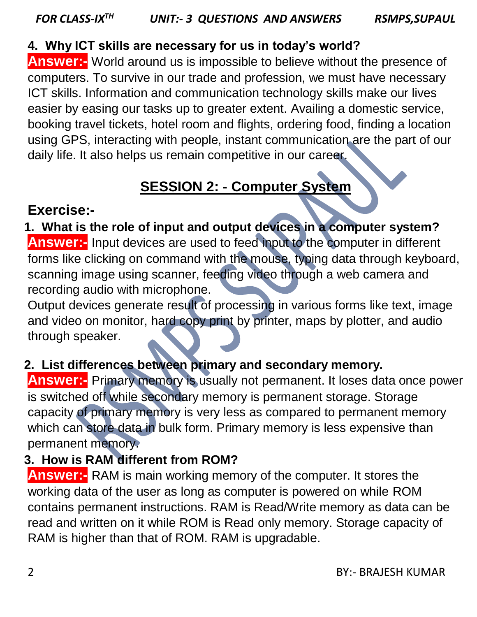#### **4. Why ICT skills are necessary for us in today's world?**

**Answer:-** World around us is impossible to believe without the presence of computers. To survive in our trade and profession, we must have necessary ICT skills. Information and communication technology skills make our lives easier by easing our tasks up to greater extent. Availing a domestic service, booking travel tickets, hotel room and flights, ordering food, finding a location using GPS, interacting with people, instant communication are the part of our daily life. It also helps us remain competitive in our career.

## **SESSION 2: - Computer System**

## **Exercise:-**

## **1. What is the role of input and output devices in a computer system?**

**Answer:-** Input devices are used to feed input to the computer in different forms like clicking on command with the mouse, typing data through keyboard, scanning image using scanner, feeding video through a web camera and recording audio with microphone.

Output devices generate result of processing in various forms like text, image and video on monitor, hard copy print by printer, maps by plotter, and audio through speaker.

#### **2. List differences between primary and secondary memory.**

**Answer:-** Primary memory is usually not permanent. It loses data once power is switched off while secondary memory is permanent storage. Storage capacity of primary memory is very less as compared to permanent memory which can store data in bulk form. Primary memory is less expensive than permanent memory.

## **3. How is RAM different from ROM?**

**Answer:-** RAM is main working memory of the computer. It stores the working data of the user as long as computer is powered on while ROM contains permanent instructions. RAM is Read/Write memory as data can be read and written on it while ROM is Read only memory. Storage capacity of RAM is higher than that of ROM. RAM is upgradable.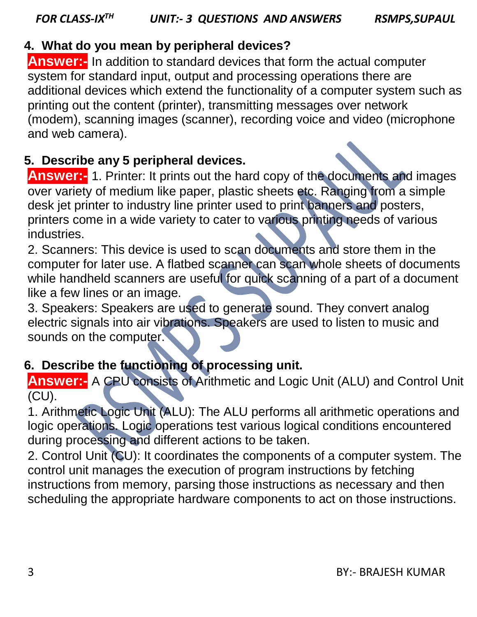**Answer:-** In addition to standard devices that form the actual computer system for standard input, output and processing operations there are additional devices which extend the functionality of a computer system such as printing out the content (printer), transmitting messages over network (modem), scanning images (scanner), recording voice and video (microphone and web camera).

## **5. Describe any 5 peripheral devices.**

**Answer:-** 1. Printer: It prints out the hard copy of the documents and images over variety of medium like paper, plastic sheets etc. Ranging from a simple desk jet printer to industry line printer used to print banners and posters, printers come in a wide variety to cater to various printing needs of various industries.

2. Scanners: This device is used to scan documents and store them in the computer for later use. A flatbed scanner can scan whole sheets of documents while handheld scanners are useful for quick scanning of a part of a document like a few lines or an image.

3. Speakers: Speakers are used to generate sound. They convert analog electric signals into air vibrations. Speakers are used to listen to music and sounds on the computer.

## **6. Describe the functioning of processing unit.**

**Answer:-** A CPU consists of Arithmetic and Logic Unit (ALU) and Control Unit (CU).

1. Arithmetic Logic Unit (ALU): The ALU performs all arithmetic operations and logic operations. Logic operations test various logical conditions encountered during processing and different actions to be taken.

2. Control Unit (CU): It coordinates the components of a computer system. The control unit manages the execution of program instructions by fetching instructions from memory, parsing those instructions as necessary and then scheduling the appropriate hardware components to act on those instructions.